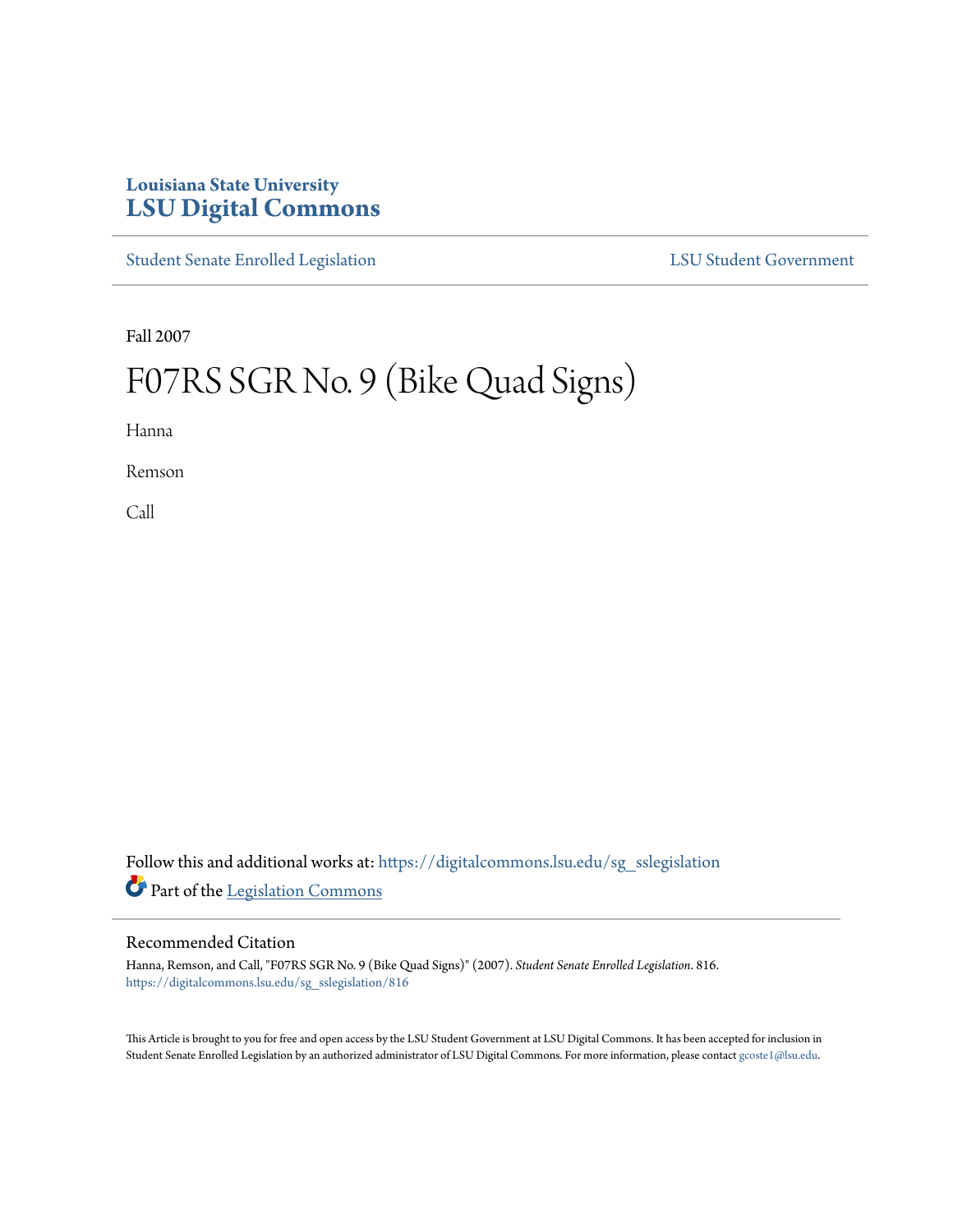## **Louisiana State University [LSU Digital Commons](https://digitalcommons.lsu.edu?utm_source=digitalcommons.lsu.edu%2Fsg_sslegislation%2F816&utm_medium=PDF&utm_campaign=PDFCoverPages)**

[Student Senate Enrolled Legislation](https://digitalcommons.lsu.edu/sg_sslegislation?utm_source=digitalcommons.lsu.edu%2Fsg_sslegislation%2F816&utm_medium=PDF&utm_campaign=PDFCoverPages) [LSU Student Government](https://digitalcommons.lsu.edu/sg?utm_source=digitalcommons.lsu.edu%2Fsg_sslegislation%2F816&utm_medium=PDF&utm_campaign=PDFCoverPages)

Fall 2007

## F07RS SGR No. 9 (Bike Quad Signs)

Hanna

Remson

Call

Follow this and additional works at: [https://digitalcommons.lsu.edu/sg\\_sslegislation](https://digitalcommons.lsu.edu/sg_sslegislation?utm_source=digitalcommons.lsu.edu%2Fsg_sslegislation%2F816&utm_medium=PDF&utm_campaign=PDFCoverPages) Part of the [Legislation Commons](http://network.bepress.com/hgg/discipline/859?utm_source=digitalcommons.lsu.edu%2Fsg_sslegislation%2F816&utm_medium=PDF&utm_campaign=PDFCoverPages)

## Recommended Citation

Hanna, Remson, and Call, "F07RS SGR No. 9 (Bike Quad Signs)" (2007). *Student Senate Enrolled Legislation*. 816. [https://digitalcommons.lsu.edu/sg\\_sslegislation/816](https://digitalcommons.lsu.edu/sg_sslegislation/816?utm_source=digitalcommons.lsu.edu%2Fsg_sslegislation%2F816&utm_medium=PDF&utm_campaign=PDFCoverPages)

This Article is brought to you for free and open access by the LSU Student Government at LSU Digital Commons. It has been accepted for inclusion in Student Senate Enrolled Legislation by an authorized administrator of LSU Digital Commons. For more information, please contact [gcoste1@lsu.edu.](mailto:gcoste1@lsu.edu)